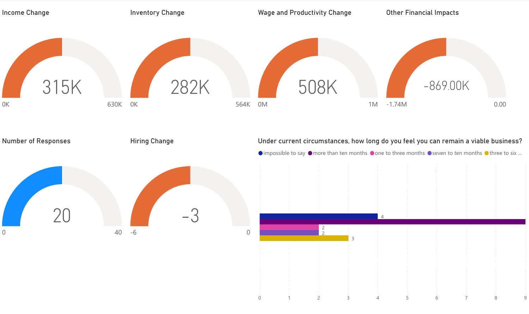